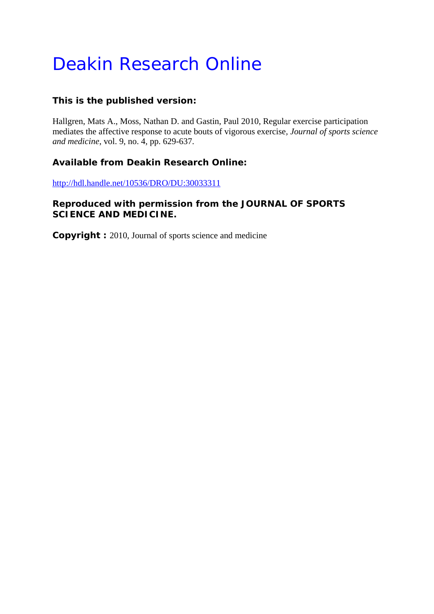# Deakin Research Online

# **This is the published version:**

Hallgren, Mats A., Moss, Nathan D. and Gastin, Paul 2010, Regular exercise participation mediates the affective response to acute bouts of vigorous exercise*, Journal of sports science and medicine*, vol. 9, no. 4, pp. 629-637.

# **Available from Deakin Research Online:**

http://hdl.handle.net/10536/DRO/DU:30033311

# **Reproduced with permission from the JOURNAL OF SPORTS SCIENCE AND MEDICINE.**

**Copyright :** 2010, Journal of sports science and medicine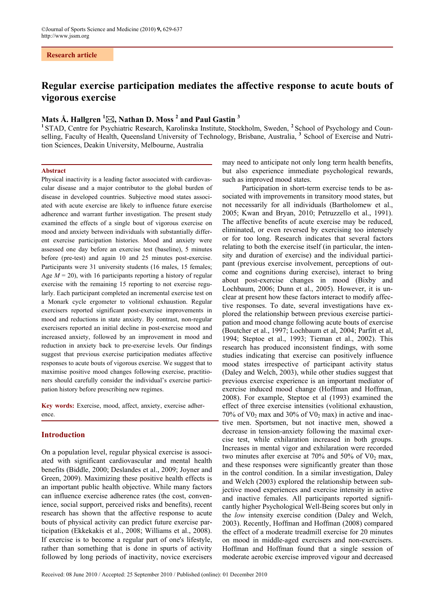#### **Research article**

# **Regular exercise participation mediates the affective response to acute bouts of vigorous exercise**

## **Mats Å. Hallgren 1 , Nathan D. Moss <sup>2</sup> and Paul Gastin <sup>3</sup>**

<sup>1</sup>STAD, Centre for Psychiatric Research, Karolinska Institute, Stockholm, Sweden, <sup>2</sup> School of Psychology and Counselling, Faculty of Health, Queensland University of Technology, Brisbane, Australia, <sup>3</sup> School of Exercise and Nutrition Sciences, Deakin University, Melbourne, Australia

#### **Abstract**

Physical inactivity is a leading factor associated with cardiovascular disease and a major contributor to the global burden of disease in developed countries. Subjective mood states associated with acute exercise are likely to influence future exercise adherence and warrant further investigation. The present study examined the effects of a single bout of vigorous exercise on mood and anxiety between individuals with substantially different exercise participation histories. Mood and anxiety were assessed one day before an exercise test (baseline), 5 minutes before (pre-test) and again 10 and 25 minutes post-exercise. Participants were 31 university students (16 males, 15 females; Age  $M = 20$ , with 16 participants reporting a history of regular exercise with the remaining 15 reporting to not exercise regularly. Each participant completed an incremental exercise test on a Monark cycle ergometer to volitional exhaustion. Regular exercisers reported significant post-exercise improvements in mood and reductions in state anxiety. By contrast, non-regular exercisers reported an initial decline in post-exercise mood and increased anxiety, followed by an improvement in mood and reduction in anxiety back to pre-exercise levels. Our findings suggest that previous exercise participation mediates affective responses to acute bouts of vigorous exercise. We suggest that to maximise positive mood changes following exercise, practitioners should carefully consider the individual's exercise participation history before prescribing new regimes.

**Key words:** Exercise, mood, affect, anxiety, exercise adherence.

### **Introduction**

On a population level, regular physical exercise is associated with significant cardiovascular and mental health benefits (Biddle, 2000; Deslandes et al., 2009; Joyner and Green, 2009). Maximizing these positive health effects is an important public health objective. While many factors can influence exercise adherence rates (the cost, convenience, social support, perceived risks and benefits), recent research has shown that the affective response to acute bouts of physical activity can predict future exercise participation (Ekkekakis et al., 2008; Williams et al., 2008). If exercise is to become a regular part of one's lifestyle, rather than something that is done in spurts of activity followed by long periods of inactivity, novice exercisers

may need to anticipate not only long term health benefits, but also experience immediate psychological rewards, such as improved mood states.

Participation in short-term exercise tends to be associated with improvements in transitory mood states, but not necessarily for all individuals (Bartholomew et al., 2005; Kwan and Bryan, 2010; Petruzzello et al., 1991). The affective benefits of acute exercise may be reduced, eliminated, or even reversed by exercising too intensely or for too long. Research indicates that several factors relating to both the exercise itself (in particular, the intensity and duration of exercise) and the individual participant (previous exercise involvement, perceptions of outcome and cognitions during exercise), interact to bring about post-exercise changes in mood (Bixby and Lochbaum, 2006; Dunn et al., 2005). However, it is unclear at present how these factors interact to modify affective responses. To date, several investigations have explored the relationship between previous exercise participation and mood change following acute bouts of exercise (Boutcher et al., 1997; Lochbaum et al, 2004; Parfitt et al, 1994; Steptoe et al., 1993; Tieman et al., 2002). This research has produced inconsistent findings, with some studies indicating that exercise can positively influence mood states irrespective of participant activity status (Daley and Welch, 2003), while other studies suggest that previous exercise experience is an important mediator of exercise induced mood change (Hoffman and Hoffman, 2008). For example, Steptoe et al (1993) examined the effect of three exercise intensities (volitional exhaustion,  $70\%$  of V0<sub>2</sub> max and 30% of V0<sub>2</sub> max) in active and inactive men. Sportsmen, but not inactive men, showed a decrease in tension-anxiety following the maximal exercise test, while exhilaration increased in both groups. Increases in mental vigor and exhilaration were recorded two minutes after exercise at  $70\%$  and  $50\%$  of V0<sub>2</sub> max, and these responses were significantly greater than those in the control condition. In a similar investigation, Daley and Welch (2003) explored the relationship between subjective mood experiences and exercise intensity in active and inactive females. All participants reported significantly higher Psychological Well-Being scores but only in the *low* intensity exercise condition (Daley and Welch, 2003). Recently, Hoffman and Hoffman (2008) compared the effect of a moderate treadmill exercise for 20 minutes on mood in middle-aged exercisers and non-exercisers. Hoffman and Hoffman found that a single session of moderate aerobic exercise improved vigour and decreased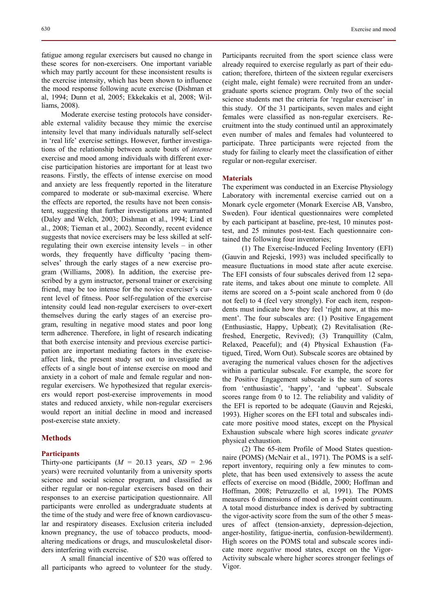fatigue among regular exercisers but caused no change in these scores for non-exercisers. One important variable which may partly account for these inconsistent results is the exercise intensity, which has been shown to influence the mood response following acute exercise (Dishman et al, 1994; Dunn et al, 2005; Ekkekakis et al, 2008; Williams, 2008).

Moderate exercise testing protocols have considerable external validity because they mimic the exercise intensity level that many individuals naturally self-select in 'real life' exercise settings. However, further investigations of the relationship between acute bouts of *intense* exercise and mood among individuals with different exercise participation histories are important for at least two reasons. Firstly, the effects of intense exercise on mood and anxiety are less frequently reported in the literature compared to moderate or sub-maximal exercise. Where the effects are reported, the results have not been consistent, suggesting that further investigations are warranted (Daley and Welch, 2003; Dishman et al., 1994; Lind et al., 2008; Tieman et al., 2002). Secondly, recent evidence suggests that novice exercisers may be less skilled at selfregulating their own exercise intensity levels – in other words, they frequently have difficulty 'pacing themselves' through the early stages of a new exercise program (Williams, 2008). In addition, the exercise prescribed by a gym instructor, personal trainer or exercising friend, may be too intense for the novice exerciser's current level of fitness. Poor self-regulation of the exercise intensity could lead non-regular exercisers to over-exert themselves during the early stages of an exercise program, resulting in negative mood states and poor long term adherence. Therefore, in light of research indicating that both exercise intensity and previous exercise participation are important mediating factors in the exerciseaffect link, the present study set out to investigate the effects of a single bout of intense exercise on mood and anxiety in a cohort of male and female regular and nonregular exercisers. We hypothesized that regular exercisers would report post-exercise improvements in mood states and reduced anxiety, while non-regular exercisers would report an initial decline in mood and increased post-exercise state anxiety.

#### **Methods**

#### **Participants**

Thirty-one participants  $(M = 20.13$  years,  $SD = 2.96$ years) were recruited voluntarily from a university sports science and social science program, and classified as either regular or non-regular exercisers based on their responses to an exercise participation questionnaire. All participants were enrolled as undergraduate students at the time of the study and were free of known cardiovascular and respiratory diseases. Exclusion criteria included known pregnancy, the use of tobacco products, moodaltering medications or drugs, and musculoskeletal disorders interfering with exercise.

A small financial incentive of \$20 was offered to all participants who agreed to volunteer for the study. Participants recruited from the sport science class were already required to exercise regularly as part of their education; therefore, thirteen of the sixteen regular exercisers (eight male, eight female) were recruited from an undergraduate sports science program. Only two of the social science students met the criteria for 'regular exerciser' in this study. Of the 31 participants, seven males and eight females were classified as non-regular exercisers. Recruitment into the study continued until an approximately even number of males and females had volunteered to participate. Three participants were rejected from the study for failing to clearly meet the classification of either regular or non-regular exerciser.

#### **Materials**

The experiment was conducted in an Exercise Physiology Laboratory with incremental exercise carried out on a Monark cycle ergometer (Monark Exercise AB, Vansbro, Sweden). Four identical questionnaires were completed by each participant at baseline, pre-test, 10 minutes posttest, and 25 minutes post-test. Each questionnaire contained the following four inventories;

(1) The Exercise-Induced Feeling Inventory (EFI) (Gauvin and Rejeski, 1993) was included specifically to measure fluctuations in mood state after acute exercise. The EFI consists of four subscales derived from 12 separate items, and takes about one minute to complete. All items are scored on a 5-point scale anchored from 0 (do not feel) to 4 (feel very strongly). For each item, respondents must indicate how they feel 'right now, at this moment'. The four subscales are: (1) Positive Engagement (Enthusiastic, Happy, Upbeat); (2) Revitalisation (Refreshed, Energetic, Revived); (3) Tranquillity (Calm, Relaxed, Peaceful); and (4) Physical Exhaustion (Fatigued, Tired, Worn Out). Subscale scores are obtained by averaging the numerical values chosen for the adjectives within a particular subscale. For example, the score for the Positive Engagement subscale is the sum of scores from 'enthusiastic', 'happy', 'and 'upbeat'. Subscale scores range from 0 to 12. The reliability and validity of the EFI is reported to be adequate (Gauvin and Rejeski, 1993). Higher scores on the EFI total and subscales indicate more positive mood states, except on the Physical Exhaustion subscale where high scores indicate *greater* physical exhaustion.

(2) The 65-item Profile of Mood States questionnaire (POMS) (McNair et al., 1971). The POMS is a selfreport inventory, requiring only a few minutes to complete, that has been used extensively to assess the acute effects of exercise on mood (Biddle, 2000; Hoffman and Hoffman, 2008; Petruzzello et al, 1991). The POMS measures 6 dimensions of mood on a 5-point continuum. A total mood disturbance index is derived by subtracting the vigor-activity score from the sum of the other 5 measures of affect (tension-anxiety, depression-dejection, anger-hostility, fatigue-inertia, confusion-bewilderment). High scores on the POMS total and subscale scores indicate more *negative* mood states, except on the Vigor-Activity subscale where higher scores stronger feelings of Vigor.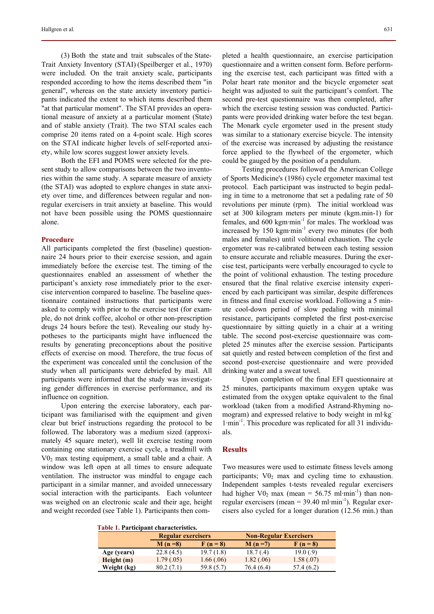(3) Both the state and trait subscales of the State-Trait Anxiety Inventory (STAI) (Speilberger et al., 1970) were included. On the trait anxiety scale, participants responded according to how the items described them "in general", whereas on the state anxiety inventory participants indicated the extent to which items described them "at that particular moment". The STAI provides an operational measure of anxiety at a particular moment (State) and of stable anxiety (Trait). The two STAI scales each comprise 20 items rated on a 4-point scale. High scores on the STAI indicate higher levels of self-reported anxiety, while low scores suggest lower anxiety levels.

Both the EFI and POMS were selected for the present study to allow comparisons between the two inventories within the same study. A separate measure of anxiety (the STAI) was adopted to explore changes in state anxiety over time, and differences between regular and nonregular exercisers in trait anxiety at baseline. This would not have been possible using the POMS questionnaire alone.

#### **Procedure**

All participants completed the first (baseline) questionnaire 24 hours prior to their exercise session, and again immediately before the exercise test. The timing of the questionnaires enabled an assessment of whether the participant's anxiety rose immediately prior to the exercise intervention compared to baseline. The baseline questionnaire contained instructions that participants were asked to comply with prior to the exercise test (for example, do not drink coffee, alcohol or other non-prescription drugs 24 hours before the test). Revealing our study hypotheses to the participants might have influenced the results by generating preconceptions about the positive effects of exercise on mood. Therefore, the true focus of the experiment was concealed until the conclusion of the study when all participants were debriefed by mail. All participants were informed that the study was investigating gender differences in exercise performance, and its influence on cognition.

Upon entering the exercise laboratory, each participant was familiarised with the equipment and given clear but brief instructions regarding the protocol to be followed. The laboratory was a medium sized (approximately 45 square meter), well lit exercise testing room containing one stationary exercise cycle, a treadmill with  $V0<sub>2</sub>$  max testing equipment, a small table and a chair. A window was left open at all times to ensure adequate ventilation. The instructor was mindful to engage each participant in a similar manner, and avoided unnecessary social interaction with the participants. Each volunteer was weighed on an electronic scale and their age, height and weight recorded (see Table 1). Participants then completed a health questionnaire, an exercise participation questionnaire and a written consent form. Before performing the exercise test, each participant was fitted with a Polar heart rate monitor and the bicycle ergometer seat height was adjusted to suit the participant's comfort. The second pre-test questionnaire was then completed, after which the exercise testing session was conducted. Participants were provided drinking water before the test began. The Monark cycle ergometer used in the present study was similar to a stationary exercise bicycle. The intensity of the exercise was increased by adjusting the resistance force applied to the flywheel of the ergometer, which could be gauged by the position of a pendulum.

Testing procedures followed the American College of Sports Medicine's (1986) cycle ergometer maximal test protocol. Each participant was instructed to begin pedaling in time to a metronome that set a pedaling rate of 50 revolutions per minute (rpm). The initial workload was set at 300 kilogram meters per minute (kgm.min-1) for females, and 600 kgm·min<sup>-1</sup> for males. The workload was increased by  $150 \text{ kgm·min}^{-1}$  every two minutes (for both males and females) until volitional exhaustion. The cycle ergometer was re-calibrated between each testing session to ensure accurate and reliable measures. During the exercise test, participants were verbally encouraged to cycle to the point of volitional exhaustion. The testing procedure ensured that the final relative exercise intensity experienced by each participant was similar, despite differences in fitness and final exercise workload. Following a 5 minute cool-down period of slow pedaling with minimal resistance, participants completed the first post-exercise questionnaire by sitting quietly in a chair at a writing table. The second post-exercise questionnaire was completed 25 minutes after the exercise session. Participants sat quietly and rested between completion of the first and second post-exercise questionnaire and were provided drinking water and a sweat towel.

Upon completion of the final EFI questionnaire at 25 minutes, participants maximum oxygen uptake was estimated from the oxygen uptake equivalent to the final workload (taken from a modified Astrand-Rhyming nomogram) and expressed relative to body weight in ml·kg-1·min-1. This procedure was replicated for all 31 individuals.

#### **Results**

Two measures were used to estimate fitness levels among participants;  $V_2$  max and cycling time to exhaustion. Independent samples t-tests revealed regular exercisers had higher  $\text{V0}_2$  max (mean = 56.75 ml·min<sup>-1</sup>) than nonregular exercisers (mean =  $39.40$  ml·min<sup>-1</sup>). Regular exercisers also cycled for a longer duration (12.56 min.) than

|  | Table 1. Participant characteristics. |
|--|---------------------------------------|
|--|---------------------------------------|

|             | <b>Regular exercisers</b> |            | <b>Non-Regular Exercisers</b> |            |  |
|-------------|---------------------------|------------|-------------------------------|------------|--|
|             | $M(n=8)$                  | $F(n = 8)$ | $M(n=7)$                      | $F(n = 8)$ |  |
| Age (years) | 22.8(4.5)                 | 19.7(1.8)  | 18.7(0.4)                     | 19.0(.9)   |  |
| Height(m)   | 1.79(.05)                 | 1.66(.06)  | 1.82(0.06)                    | 1.58(.07)  |  |
| Weight (kg) | 80.2(7.1)                 | 59.8 (5.7) | 76.4 (6.4)                    | 57.4(6.2)  |  |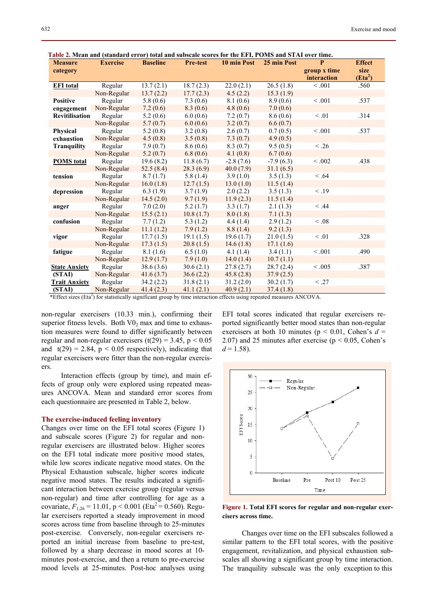| <b>Measure</b>       | <b>Exercise</b> | <b>Baseline</b> | <b>Pre-test</b> | radic 2. mean and (standard cribi) total and subscale scores for the Erig r Omb and Strik over thile.<br>10 min Post | 25 min Post | P            | <b>Effect</b>       |
|----------------------|-----------------|-----------------|-----------------|----------------------------------------------------------------------------------------------------------------------|-------------|--------------|---------------------|
| category             |                 |                 |                 |                                                                                                                      |             | group x time | size                |
|                      |                 |                 |                 |                                                                                                                      |             | interaction  | (Eta <sup>2</sup> ) |
| <b>EFI</b> total     | Regular         | 13.7(2.1)       | 18.7(2.3)       | 22.0(2.1)                                                                                                            | 26.5(1.8)   | < 0.001      | .560                |
|                      | Non-Regular     | 13.7(2.2)       | 17.7(2.3)       | 4.5(2.2)                                                                                                             | 15.3(1.9)   |              |                     |
| Positive             | Regular         | 5.8(0.6)        | 7.3(0.6)        | 8.1(0.6)                                                                                                             | 8.9(0.6)    | < 0.001      | .537                |
| engagement           | Non-Regular     | 7.2(0.6)        | 8.3(0.6)        | 4.8(0.6)                                                                                                             | 7.0(0.6)    |              |                     |
| Revitilisation       | Regular         | 5.2(0.6)        | 6.0(0.6)        | 7.2(0.7)                                                                                                             | 8.6(0.6)    | $\leq .01$   | .314                |
|                      | Non-Regular     | 5.7(0.7)        | 6.0(0.6)        | 3.2(0.7)                                                                                                             | 6.6(0.7)    |              |                     |
| <b>Physical</b>      | Regular         | 5.2(0.8)        | 3.2(0.8)        | 2.6(0.7)                                                                                                             | 0.7(0.5)    | < 0.001      | .537                |
| exhaustion           | Non-Regular     | 4.5(0.8)        | 3.5(0.8)        | 7.3(0.7)                                                                                                             | 4.9(0.5)    |              |                     |
| <b>Tranguility</b>   | Regular         | 7.9(0.7)        | 8.6(0.6)        | 8.3(0.7)                                                                                                             | 9.5(0.5)    | < .26        |                     |
|                      | Non-Regular     | 5.2(0.7)        | 6.8(0.6)        | 4.1(0.8)                                                                                                             | 6.7(0.6)    |              |                     |
| <b>POMS</b> total    | Regular         | 19.6(8.2)       | 11.8(6.7)       | $-2.8(7.6)$                                                                                                          | $-7.9(6.3)$ | < 0.002      | .438                |
|                      | Non-Regular     | 52.5(8.4)       | 28.3(6.9)       | 40.0(7.9)                                                                                                            | 31.1(6.5)   |              |                     |
| tension              | Regular         | 8.7(1.7)        | 5.8(1.4)        | 3.9(1.0)                                                                                                             | 3.5(1.3)    | < .64        |                     |
|                      | Non-Regular     | 16.0(1.8)       | 12.7(1.5)       | 13.0(1.0)                                                                                                            | 11.5(1.4)   |              |                     |
| depression           | Regular         | 6.3(1.9)        | 3.7(1.9)        | 2.0(2.2)                                                                                                             | 3.5(1.3)    | < .19        |                     |
|                      | Non-Regular     | 14.5(2.0)       | 9.7(1.9)        | 11.9(2.3)                                                                                                            | 11.5(1.4)   |              |                     |
| anger                | Regular         | 7.0(2.0)        | 5.2(1.7)        | 3.3(1.7)                                                                                                             | 2.1(1.3)    | $<$ .44      |                     |
|                      | Non-Regular     | 15.5(2.1)       | 10.8(1.7)       | 8.0(1.8)                                                                                                             | 7.1(1.3)    |              |                     |
| confusion            | Regular         | 7.7(1.2)        | 5.3(1.2)        | 4.4(1.4)                                                                                                             | 2.9(1.2)    | < .08        |                     |
|                      | Non-Regular     | 11.1(1.2)       | 7.9(1.2)        | 8.8(1.4)                                                                                                             | 9.2(1.3)    |              |                     |
| vigor                | Regular         | 17.7(1.5)       | 19.1(1.5)       | 19.6(1.7)                                                                                                            | 21.0(1.5)   | $\leq .01$   | .328                |
|                      | Non-Regular     | 17.3(1.5)       | 20.8(1.5)       | 14.6(1.8)                                                                                                            | 17.1(1.6)   |              |                     |
| fatigue              | Regular         | 8.1(1.6)        | 6.5(1.0)        | 4.1(1.4)                                                                                                             | 3.4(1.1)    | < 0.001      | .490                |
|                      | Non-Regular     | 12.9(1.7)       | 7.9(1.0)        | 14.0(1.4)                                                                                                            | 10.7(1.1)   |              |                     |
| <b>State Anxiety</b> | Regular         | 38.6(3.6)       | 30.6(2.1)       | 27.8(2.7)                                                                                                            | 28.7(2.4)   | < 0.005      | .387                |
| (STAI)               | Non-Regular     | 41.6(3.7)       | 36.6(2.2)       | 45.8(2.8)                                                                                                            | 37.9(2.5)   |              |                     |
| <b>Trait Anxiety</b> | Regular         | 34.2(2.2)       | 31.8(2.1)       | 31.2(2.0)                                                                                                            | 30.2(1.7)   | < .27        |                     |
| (STAI)               | Non-Regular     | 41.4(2.3)       | 41.1(2.1)       | 40.9(2.1)                                                                                                            | 37.4(1.8)   |              |                     |

 **Table 2. Mean and (standard error) total and subscale scores for the EFI, POMS and STAI over time.** 

\*Effect sizes (Eta<sup>2</sup>) for statistically significant group by time interaction effects using repeated measures ANCOVA.

non-regular exercisers (10.33 min.), confirming their superior fitness levels. Both  $V_2$  max and time to exhaustion measures were found to differ significantly between regular and non-regular exercisers (t(29) = 3.45,  $p < 0.05$ and  $t(29) = 2.84$ ,  $p < 0.05$  respectively), indicating that regular exercisers were fitter than the non-regular exercisers.

Interaction effects (group by time), and main effects of group only were explored using repeated measures ANCOVA. Mean and standard error scores from each questionnaire are presented in Table 2, below.

#### **The exercise-induced feeling inventory**

Changes over time on the EFI total scores (Figure 1) and subscale scores (Figure 2) for regular and nonregular exercisers are illustrated below. Higher scores on the EFI total indicate more positive mood states, while low scores indicate negative mood states. On the Physical Exhaustion subscale, higher scores indicate negative mood states. The results indicated a significant interaction between exercise group (regular versus non-regular) and time after controlling for age as a covariate,  $F_{1,26} = 11.01$ , p < 0.001 (Eta<sup>2</sup> = 0.560). Regular exercisers reported a steady improvement in mood scores across time from baseline through to 25-minutes post-exercise. Conversely, non-regular exercisers reported an initial increase from baseline to pre-test, followed by a sharp decrease in mood scores at 10 minutes post-exercise, and then a return to pre-exercise mood levels at 25-minutes. Post-hoc analyses using

EFI total scores indicated that regular exercisers reported significantly better mood states than non-regular exercisers at both 10 minutes ( $p < 0.01$ , Cohen's  $d =$ 2.07) and 25 minutes after exercise ( $p < 0.05$ , Cohen's  $d = 1.58$ .



**Figure 1. Total EFI scores for regular and non-regular exercisers across time.** 

Changes over time on the EFI subscales followed a similar pattern to the EFI total scores, with the positive engagement, revitalization, and physical exhaustion subscales all showing a significant group by time interaction. The tranquility subscale was the only exception to this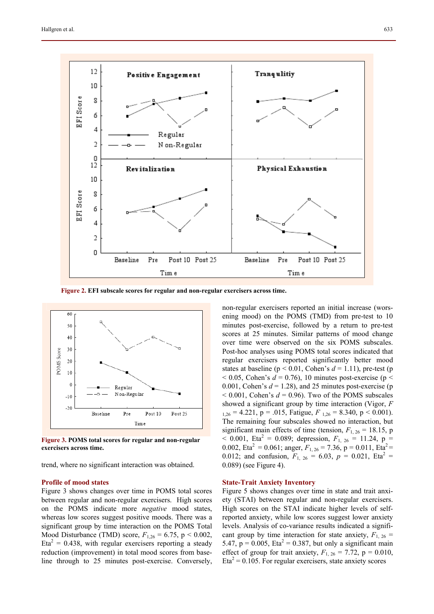

 **Figure 2. EFI subscale scores for regular and non-regular exercisers across time.** 



**Figure 3. POMS total scores for regular and non-regular exercisers across time.** 

trend, where no significant interaction was obtained.

#### **Profile of mood states**

Figure 3 shows changes over time in POMS total scores between regular and non-regular exercisers. High scores on the POMS indicate more *negative* mood states, whereas low scores suggest positive moods. There was a significant group by time interaction on the POMS Total Mood Disturbance (TMD) score,  $F_{1,26} = 6.75$ ,  $p < 0.002$ ,  $Eta<sup>2</sup> = 0.438$ , with regular exercisers reporting a steady reduction (improvement) in total mood scores from baseline through to 25 minutes post-exercise. Conversely,

non-regular exercisers reported an initial increase (worsening mood) on the POMS (TMD) from pre-test to 10 minutes post-exercise, followed by a return to pre-test scores at 25 minutes. Similar patterns of mood change over time were observed on the six POMS subscales. Post-hoc analyses using POMS total scores indicated that regular exercisers reported significantly better mood states at baseline ( $p < 0.01$ , Cohen's  $d = 1.11$ ), pre-test (p  $<$  0.05, Cohen's  $d = 0.76$ ), 10 minutes post-exercise (p  $<$ 0.001, Cohen's  $d = 1.28$ ), and 25 minutes post-exercise (p  $< 0.001$ , Cohen's  $d = 0.96$ ). Two of the POMS subscales showed a significant group by time interaction (Vigor, *F*  $_{1,26}$  = 4.221, p = .015, Fatigue,  $F_{1,26}$  = 8.340, p < 0.001). The remaining four subscales showed no interaction, but significant main effects of time (tension,  $F_{1, 26} = 18.15$ , p  $<$  0.001, Eta<sup>2</sup> = 0.089; depression,  $F_{1, 26}$  = 11.24, p = 0.002, Eta<sup>2</sup> = 0.061; anger,  $F_{1, 26}$  = 7.36, p = 0.011, Eta<sup>2</sup> = 0.012; and confusion,  $F_{1, 26} = 6.03$ ,  $p = 0.021$ , Eta<sup>2</sup> = 0.089) (see Figure 4).

#### **State-Trait Anxiety Inventory**

Figure 5 shows changes over time in state and trait anxiety (STAI) between regular and non-regular exercisers. High scores on the STAI indicate higher levels of selfreported anxiety, while low scores suggest lower anxiety levels. Analysis of co-variance results indicated a significant group by time interaction for state anxiety,  $F_{1, 26}$  = 5.47,  $p = 0.005$ , Eta<sup>2</sup> = 0.387, but only a significant main effect of group for trait anxiety,  $F_{1, 26} = 7.72$ ,  $p = 0.010$ ,  $Eta<sup>2</sup> = 0.105$ . For regular exercisers, state anxiety scores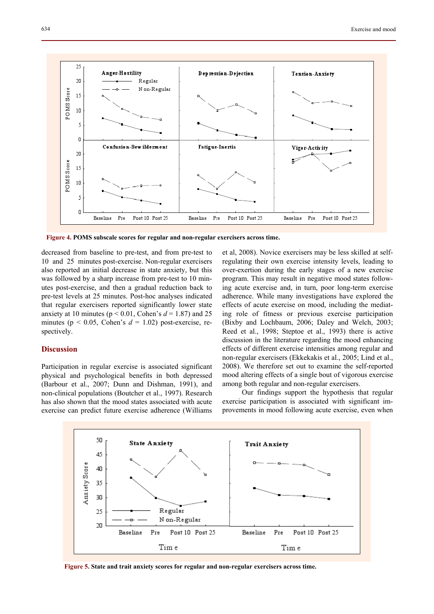

 **Figure 4. POMS subscale scores for regular and non-regular exercisers across time.** 

decreased from baseline to pre-test, and from pre-test to 10 and 25 minutes post-exercise. Non-regular exercisers also reported an initial decrease in state anxiety, but this was followed by a sharp increase from pre-test to 10 minutes post-exercise, and then a gradual reduction back to pre-test levels at 25 minutes. Post-hoc analyses indicated that regular exercisers reported significantly lower state anxiety at 10 minutes ( $p < 0.01$ , Cohen's  $d = 1.87$ ) and 25 minutes ( $p < 0.05$ , Cohen's  $d = 1.02$ ) post-exercise, respectively.

## **Discussion**

Participation in regular exercise is associated significant physical and psychological benefits in both depressed (Barbour et al., 2007; Dunn and Dishman, 1991), and non-clinical populations (Boutcher et al., 1997). Research has also shown that the mood states associated with acute exercise can predict future exercise adherence (Williams et al, 2008). Novice exercisers may be less skilled at selfregulating their own exercise intensity levels, leading to over-exertion during the early stages of a new exercise program. This may result in negative mood states following acute exercise and, in turn, poor long-term exercise adherence. While many investigations have explored the effects of acute exercise on mood, including the mediating role of fitness or previous exercise participation (Bixby and Lochbaum, 2006; Daley and Welch, 2003; Reed et al., 1998; Steptoe et al., 1993) there is active discussion in the literature regarding the mood enhancing effects of different exercise intensities among regular and non-regular exercisers (Ekkekakis et al., 2005; Lind et al., 2008). We therefore set out to examine the self-reported mood altering effects of a single bout of vigorous exercise among both regular and non-regular exercisers.

Our findings support the hypothesis that regular exercise participation is associated with significant improvements in mood following acute exercise, even when



 **Figure 5. State and trait anxiety scores for regular and non-regular exercisers across time.**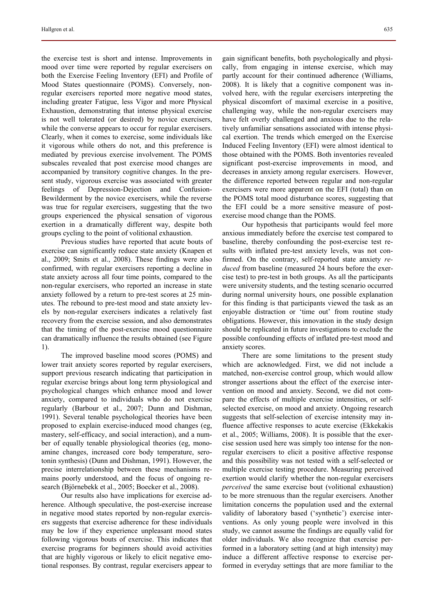the exercise test is short and intense. Improvements in mood over time were reported by regular exercisers on both the Exercise Feeling Inventory (EFI) and Profile of Mood States questionnaire (POMS). Conversely, nonregular exercisers reported more negative mood states, including greater Fatigue, less Vigor and more Physical Exhaustion, demonstrating that intense physical exercise is not well tolerated (or desired) by novice exercisers, while the converse appears to occur for regular exercisers. Clearly, when it comes to exercise, some individuals like it vigorous while others do not, and this preference is mediated by previous exercise involvement. The POMS subscales revealed that post exercise mood changes are accompanied by transitory cognitive changes. In the present study, vigorous exercise was associated with greater feelings of Depression-Dejection and Confusion-Bewilderment by the novice exercisers, while the reverse was true for regular exercisers, suggesting that the two groups experienced the physical sensation of vigorous exertion in a dramatically different way, despite both groups cycling to the point of volitional exhaustion.

Previous studies have reported that acute bouts of exercise can significantly reduce state anxiety (Knapen et al., 2009; Smits et al., 2008). These findings were also confirmed, with regular exercisers reporting a decline in state anxiety across all four time points, compared to the non-regular exercisers, who reported an increase in state anxiety followed by a return to pre-test scores at 25 minutes. The rebound to pre-test mood and state anxiety levels by non-regular exercisers indicates a relatively fast recovery from the exercise session, and also demonstrates that the timing of the post-exercise mood questionnaire can dramatically influence the results obtained (see Figure 1).

The improved baseline mood scores (POMS) and lower trait anxiety scores reported by regular exercisers, support previous research indicating that participation in regular exercise brings about long term physiological and psychological changes which enhance mood and lower anxiety, compared to individuals who do not exercise regularly (Barbour et al., 2007; Dunn and Dishman, 1991). Several tenable psychological theories have been proposed to explain exercise-induced mood changes (eg, mastery, self-efficacy, and social interaction), and a number of equally tenable physiological theories (eg, monoamine changes, increased core body temperature, serotonin synthesis) (Dunn and Dishman, 1991). However, the precise interrelationship between these mechanisms remains poorly understood, and the focus of ongoing research (Björnebekk et al., 2005; Boecker et al., 2008).

Our results also have implications for exercise adherence. Although speculative, the post-exercise increase in negative mood states reported by non-regular exercisers suggests that exercise adherence for these individuals may be low if they experience unpleasant mood states following vigorous bouts of exercise. This indicates that exercise programs for beginners should avoid activities that are highly vigorous or likely to elicit negative emotional responses. By contrast, regular exercisers appear to gain significant benefits, both psychologically and physically, from engaging in intense exercise, which may partly account for their continued adherence (Williams, 2008). It is likely that a cognitive component was involved here, with the regular exercisers interpreting the physical discomfort of maximal exercise in a positive, challenging way, while the non-regular exercisers may have felt overly challenged and anxious due to the relatively unfamiliar sensations associated with intense physical exertion. The trends which emerged on the Exercise Induced Feeling Inventory (EFI) were almost identical to those obtained with the POMS. Both inventories revealed significant post-exercise improvements in mood, and decreases in anxiety among regular exercisers. However, the difference reported between regular and non-regular exercisers were more apparent on the EFI (total) than on the POMS total mood disturbance scores, suggesting that the EFI could be a more sensitive measure of postexercise mood change than the POMS.

Our hypothesis that participants would feel more anxious immediately before the exercise test compared to baseline, thereby confounding the post-exercise test results with inflated pre-test anxiety levels, was not confirmed. On the contrary, self-reported state anxiety *reduced* from baseline (measured 24 hours before the exercise test) to pre-test in both groups. As all the participants were university students, and the testing scenario occurred during normal university hours, one possible explanation for this finding is that participants viewed the task as an enjoyable distraction or 'time out' from routine study obligations. However, this innovation in the study design should be replicated in future investigations to exclude the possible confounding effects of inflated pre-test mood and anxiety scores.

There are some limitations to the present study which are acknowledged. First, we did not include a matched, non-exercise control group, which would allow stronger assertions about the effect of the exercise intervention on mood and anxiety. Second, we did not compare the effects of multiple exercise intensities, or selfselected exercise, on mood and anxiety. Ongoing research suggests that self-selection of exercise intensity may influence affective responses to acute exercise (Ekkekakis et al., 2005; Williams, 2008). It is possible that the exercise session used here was simply too intense for the nonregular exercisers to elicit a positive affective response and this possibility was not tested with a self-selected or multiple exercise testing procedure. Measuring perceived exertion would clarify whether the non-regular exercisers *perceived* the same exercise bout (volitional exhaustion) to be more strenuous than the regular exercisers. Another limitation concerns the population used and the external validity of laboratory based ('synthetic') exercise interventions. As only young people were involved in this study, we cannot assume the findings are equally valid for older individuals. We also recognize that exercise performed in a laboratory setting (and at high intensity) may induce a different affective response to exercise performed in everyday settings that are more familiar to the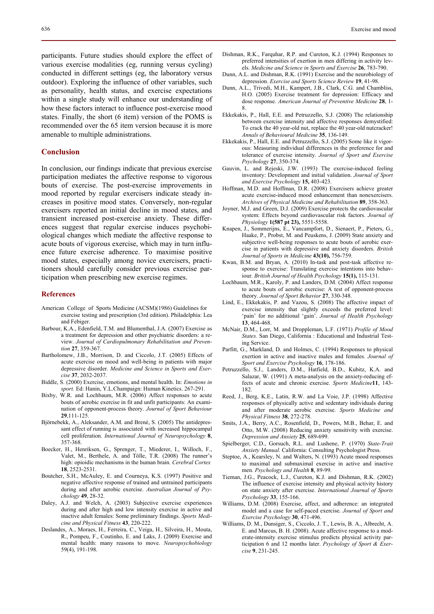participants. Future studies should explore the effect of various exercise modalities (eg, running versus cycling) conducted in different settings (eg, the laboratory versus outdoor). Exploring the influence of other variables, such as personality, health status, and exercise expectations within a single study will enhance our understanding of how these factors interact to influence post-exercise mood states. Finally, the short (6 item) version of the POMS is recommended over the 65 item version because it is more amenable to multiple administrations.

#### **Conclusion**

In conclusion, our findings indicate that previous exercise participation mediates the affective response to vigorous bouts of exercise. The post-exercise improvements in mood reported by regular exercisers indicate steady increases in positive mood states. Conversely, non-regular exercisers reported an initial decline in mood states, and transient increased post-exercise anxiety. These differences suggest that regular exercise induces psychobiological changes which mediate the affective response to acute bouts of vigorous exercise, which may in turn influence future exercise adherence. To maximise positive mood states, especially among novice exercisers, practitioners should carefully consider previous exercise participation when prescribing new exercise regimes.

#### **References**

- American College of Sports Medicine (ACSM)(1986) Guidelines for exercise testing and prescription (3rd edition). Philadelphia: Lea and Febiger.
- Barbour, K.A., Edenfield, T.M. and Blumenthal, J.A. (2007) Exercise as a treatment for depression and other psychiatric disorders: a review. *Journal of Cardiopulmonary Rehabilitation and Prevention* **27**, 359-367.
- Bartholomew, J.B., Morrison, D. and Ciccolo, J.T. (2005) Effects of acute exercise on mood and well-being in patients with major depressive disorder. *Medicine and Science in Sports and Exercise* **37**, 2032-2037.
- Biddle, S. (2000) Exercise, emotions, and mental health. In: *Emotions in sport.* Ed: Hanin, Y.L.Champaign: Human Kinetics. 267-291.
- Bixby, W.R. and Lochbaum, M.R. (2006) Affect responses to acute bouts of aerobic exercise in fit and unfit participants: An examination of opponent-process theory. *Journal of Sport Behaviour* **29**,111-125.
- Björnebekk, A., Aleksander, A.M. and Brené, S. (2005) The antidepressant effect of running is associated with increased hippocampal cell proliferation. *International Journal of Neuropsychology* **8**, 357-368.
- Boecker, H., Henriksen, G., Sprenger, T., Miederer, I., Willoch, F., Valet, M., Berthele, A. and Tölle, T.R. (2008) The runner's high: opioidic mechanisms in the human brain. *Cerebral Cortex* **18**, 2523-2531.
- Boutcher, S.H., McAuley, E. and Courneya, K.S. (1997) Positive and negative affective response of trained and untrained participants during and after aerobic exercise. *Australian Journal of Psychology* **49**, 28-32.
- Daley, A.J. and Welch, A. (2003) Subjective exercise experiences during and after high and low intensity exercise in active and inactive adult females: Some preliminary findings. *Sports Medicine and Physical Fitness* **43**, 220-222.
- Deslandes, A., Moraes, H., Ferreira, C., Veiga, H., Silveira, H., Mouta, R., Pompeu, F., Coutinho, E. and Laks, J. (2009) Exercise and mental health: many reasons to move. *Neuropsychobiology*  59(4), 191-198.
- Dishman, R.K., Farquhar, R.P. and Cureton, K.J. (1994) Responses to preferred intensities of exertion in men differing in activity levels. *Medicine and Science in Sports and Exercise* **26**, 783-790.
- Dunn, A.L. and Dishman, R.K. (1991) Exercise and the neurobiology of depression. *Exercise and Sports Science Review* **19**, 41-98.
- Dunn, A.L., Trivedi, M.H., Kampert, J.B., Clark, C.G. and Chambliss, H.O. (2005) Exercise treatment for depression: Efficacy and dose response. *American Journal of Preventive Medicine* **28**, 1- 8.
- Ekkekakis, P., Hall, E.E. and Petruzzello, S.J. (2008) The relationship between exercise intensity and affective responses demystified: To crack the 40 year-old nut, replace the 40 year-old nutcracker! *Annals of Behavioural Medicine* **35**, 136-149.
- Ekkekakis, P., Hall, E.E. and Petruzzello, S.J. (2005) Some like it vigorous: Measuring individual differences in the preference for and tolerance of exercise intensity. *Journal of Sport and Exercise Psychology* **27**, 350-374.
- Gauvin, L. and Rejeski, J.W. (1993) The exercise-induced feeling inventory: Development and initial validation. *Journal of Sport and Exercise Psychology* **15,** 403-423.
- Hoffman, M.D. and Hoffman, D.R. (2008) Exercisers achieve greater acute exercise-induced mood enhancement than nonexercisers. *Archives of Physical Medicine and Rehabilitation* **89**, 358-363.
- Joyner, M.J. and Green, D.J. (2009) Exercise protects the cardiovascular system: Effects beyond cardiovascular risk factors. *Journal of Physiology* **1(587 pt 23),** 5551-5558.
- Knapen, J., Sommerijns, E., Vancampfort, D., Sienaert, P., Pieters, G., Haake, P., Probst, M. and Peuskens, J. (2009) State anxiety and subjective well-being responses to acute bouts of aerobic exercise in patients with depressive and anxiety disorders. *British Journal of Sports in Medicine* **43(10),** 756-759.
- Kwan, B.M. and Bryan, A. (2010) In-task and post-task affective response to exercise: Translating exercise intentions into behaviour. *British Journal of Health Psychology* **15(1),** 115-131.
- Lochbaum, M.R., Karoly, P. and Landers, D.M. (2004) Affect response to acute bouts of aerobic exercise: A test of opponent-process theory. *Journal of Sport Behavior* **27**, 330-348.
- Lind, E., Ekkekakis, P. and Vazou, S. (2008) The affective impact of exercise intensity that slightly exceeds the preferred level: 'pain' for no additional 'gain'. *Journal of Health Psychology* **13**, 464-468.
- McNair, D.M., Lorr, M. and Droppleman, L.F. (1971) *Profile of Mood States.* San Diego, California : Educational and Industrial Testing Service.
- Parfitt, G., Markland, D. and Holmes, C. (1994) Responses to physical exertion in active and inactive males and females. *Journal of Sport and Exercise Psychology* **16**, 178-186.
- Petruzzello, S.J., Landers, D.M., Hatfield, B.D., Kubitz, K.A. and Salazar, W. (1991) A meta-analysis on the anxiety-reducing effects of acute and chronic exercise. *Sports Medicine***11**, 143- 182.
- Reed, J., Berg, K.E., Latin, R.W. and La Voie, J.P. (1998) Affective responses of physically active and sedentary individuals during and after moderate aerobic exercise. *Sports Medicine and Physical Fitness* **38**, 272-278.
- Smits, J.A., Berry, A.C., Rosenfield, D., Powers, M.B., Behar, E. and Otto, M.W. (2008) Reducing anxiety sensitivity with exercise. *Depression and Anxiety* **25**, 689-699.
- Spielberger, C.D., Gorsuch, R.L. and Lushene, P. (1970) *State-Trait Anxiety Manual.* California: Consulting Psychologist Press.
- Steptoe, A., Kearsley, N. and Walters, N. (1993) Acute mood responses to maximal and submaximal exercise in active and inactive men. *Psychology and Health* **8**, 89-99.
- Tieman, J.G., Peacock, L.J., Cureton, K.J. and Dishman, R.K. (2002) The influence of exercise intensity and physical activity history on state anxiety after exercise. *International Journal of Sports Psychology* **33**, 155-166.
- Williams, D.M. (2008) Exercise, affect, and adherence: an integrated model and a case for self-paced exercise. *Journal of Sport and Exercise Psychology* **30**, 471-496.
- Williams, D. M., Dunsiger, S., Ciccolo, J. T., Lewis, B. A., Albrecht, A. E. and Marcus, B. H. (2008). Acute affective response to a moderate-intensity exercise stimulus predicts physical activity participation 6 and 12 months later. *Psychology of Sport & Exercise* **9**, 231-245.